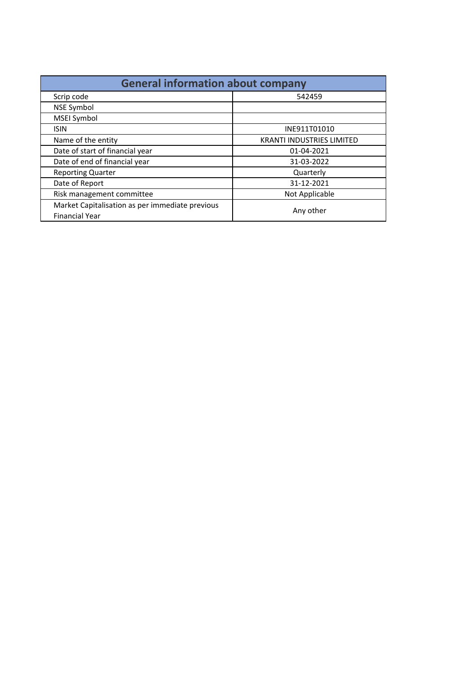| <b>General information about company</b>                                 |                                  |  |  |  |
|--------------------------------------------------------------------------|----------------------------------|--|--|--|
| Scrip code                                                               | 542459                           |  |  |  |
| <b>NSE Symbol</b>                                                        |                                  |  |  |  |
| <b>MSEI Symbol</b>                                                       |                                  |  |  |  |
| <b>ISIN</b>                                                              | INE911T01010                     |  |  |  |
| Name of the entity                                                       | <b>KRANTI INDUSTRIES LIMITED</b> |  |  |  |
| Date of start of financial year                                          | 01-04-2021                       |  |  |  |
| Date of end of financial year                                            | 31-03-2022                       |  |  |  |
| <b>Reporting Quarter</b>                                                 | Quarterly                        |  |  |  |
| Date of Report                                                           | 31-12-2021                       |  |  |  |
| Risk management committee                                                | Not Applicable                   |  |  |  |
| Market Capitalisation as per immediate previous<br><b>Financial Year</b> | Any other                        |  |  |  |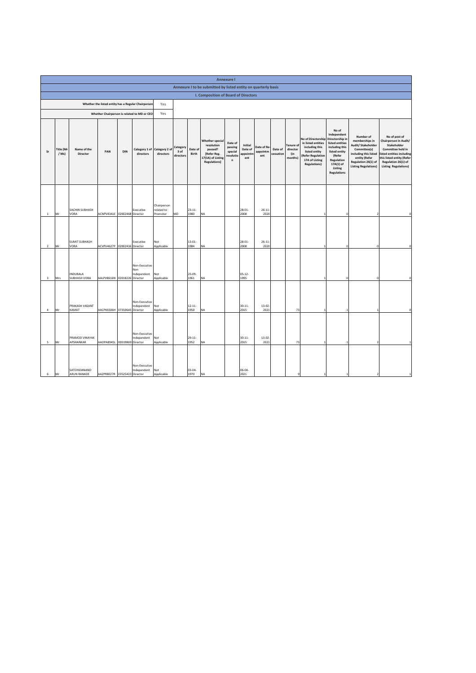|                | <b>Annexure I</b>           |                              |                              |                   |                                                     |                                       |                               |                     |                                                                                              |                                                 |                                       |                               |                      |                                                |                                                                                                                                           |                                                                                                                                                                     |                                                                                                                                                                   |                                                                                                                                                                                            |
|----------------|-----------------------------|------------------------------|------------------------------|-------------------|-----------------------------------------------------|---------------------------------------|-------------------------------|---------------------|----------------------------------------------------------------------------------------------|-------------------------------------------------|---------------------------------------|-------------------------------|----------------------|------------------------------------------------|-------------------------------------------------------------------------------------------------------------------------------------------|---------------------------------------------------------------------------------------------------------------------------------------------------------------------|-------------------------------------------------------------------------------------------------------------------------------------------------------------------|--------------------------------------------------------------------------------------------------------------------------------------------------------------------------------------------|
|                |                             |                              |                              |                   |                                                     |                                       |                               |                     | Annexure I to be submitted by listed entity on quarterly basis                               |                                                 |                                       |                               |                      |                                                |                                                                                                                                           |                                                                                                                                                                     |                                                                                                                                                                   |                                                                                                                                                                                            |
|                |                             |                              |                              |                   |                                                     |                                       |                               |                     | <b>I. Composition of Board of Directors</b>                                                  |                                                 |                                       |                               |                      |                                                |                                                                                                                                           |                                                                                                                                                                     |                                                                                                                                                                   |                                                                                                                                                                                            |
|                |                             |                              |                              |                   | Whether the listed entity has a Regular Chairperson | Yes                                   |                               |                     |                                                                                              |                                                 |                                       |                               |                      |                                                |                                                                                                                                           |                                                                                                                                                                     |                                                                                                                                                                   |                                                                                                                                                                                            |
|                |                             |                              |                              |                   | Whether Chairperson is related to MD or CEO         | Yes                                   |                               |                     |                                                                                              |                                                 |                                       |                               |                      |                                                |                                                                                                                                           |                                                                                                                                                                     |                                                                                                                                                                   |                                                                                                                                                                                            |
| Sr             | <b>Title (Mr</b><br>$/Ms$ ) | Name of the<br>Director      | PAN                          | <b>DIN</b>        | Category 1 of<br>directors                          | Category 2 of<br>directors            | Category<br>3 of<br>directors | Date of<br>Birth    | Whether special<br>resolution<br>passed?<br>[Refer Reg.<br>17(1A) of Listing<br>Regulations] | Date of<br>passing<br>special<br>resolutio<br>n | Initial<br>Date of<br>appointm<br>ent | Date of Re<br>appointm<br>ent | Date of<br>cessation | <b>Tenure of</b><br>director<br>(in<br>months) | No of Directorship<br>in listed entities<br>including this<br>listed entity<br>(Refer Regulation<br>17A of Listing<br><b>Regulations)</b> | No of<br>Independent<br>Directorship in<br>listed entities<br>including this<br>listed entity<br>(Refer<br>Regulation<br>17A(1) of<br>Listing<br><b>Regulations</b> | Number of<br>memberships in<br>Audit/ Stakeholder<br>Committee(s)<br>including this listed<br>entity (Refer<br>Regulation 26(1) of<br><b>Listing Regulations)</b> | No of post of<br>Chairperson in Audit/<br>Stakeholder<br>Committee held in<br>listed entities including<br>this listed entity (Refer<br>Regulation 26(1) of<br><b>Listing Regulations)</b> |
| $\,1\,$        | Mr                          | SACHIN SUBHASH<br>VORA       | ACNPV4341E 02002468 Director |                   | Executive                                           | Chairperson<br>related to<br>Promoter | MD                            | $23 - 11 -$<br>1980 | <b>NA</b>                                                                                    |                                                 | $28 - 01 -$<br>2008                   | $26 - 11$<br>2020             |                      |                                                |                                                                                                                                           | O                                                                                                                                                                   |                                                                                                                                                                   |                                                                                                                                                                                            |
| $\overline{2}$ | Mr                          | <b>SUMIT SUBHASH</b><br>VORA | ACVPV4627P                   | 02002416 Director | Executive                                           | Not<br>Applicable                     |                               | $13 - 01$<br>1984   | <b>NA</b>                                                                                    |                                                 | 28-01-<br>2008                        | $26 - 11$<br>2020             |                      |                                                |                                                                                                                                           | $\Omega$                                                                                                                                                            | $\Omega$                                                                                                                                                          |                                                                                                                                                                                            |
| 3              | Mrs                         | INDUBALA<br>SUBHASH VORA     | AALPV8616N 02018226 Director |                   | Non-Executive<br>Non<br>Independent                 | Not<br>Applicable                     |                               | $25 - 09 -$<br>1961 | <b>NA</b>                                                                                    |                                                 | $05 - 12 -$<br>1995                   |                               |                      |                                                |                                                                                                                                           | $\circ$                                                                                                                                                             |                                                                                                                                                                   |                                                                                                                                                                                            |
| $\sqrt{4}$     | Mr                          | PRAKASH VASANT<br>KAMAT      | AACPK6506H 07350643 Director |                   | Non-Executive<br>Independent                        | Not<br>Applicable                     |                               | $12 - 11 -$<br>1950 | ΝA                                                                                           |                                                 | $30 - 11 -$<br>2015                   | 13-02<br>2021                 |                      | 73                                             |                                                                                                                                           |                                                                                                                                                                     |                                                                                                                                                                   |                                                                                                                                                                                            |
| 5              | Mr                          | PRAMOD VINAYAK<br>APSHANKAR  | AAOPA8945L 00019869          |                   | Non-Executive<br>Independent<br>Director            | Not<br>Applicable                     |                               | $29 - 11 -$<br>1952 | ΝA                                                                                           |                                                 | $30 - 11 -$<br>2015                   | 13-02<br>2021                 |                      | 73                                             |                                                                                                                                           |                                                                                                                                                                     |                                                                                                                                                                   |                                                                                                                                                                                            |
| 6              | Mr                          | SATCHIDANAND<br>ARUN RANADE  | AAZPR8027R 03525423 Director |                   | Non-Executive<br>Independent                        | Not<br>Applicable                     |                               | $03 - 04 -$<br>1970 | NA                                                                                           |                                                 | 06-04-<br>2021                        |                               |                      |                                                |                                                                                                                                           |                                                                                                                                                                     |                                                                                                                                                                   |                                                                                                                                                                                            |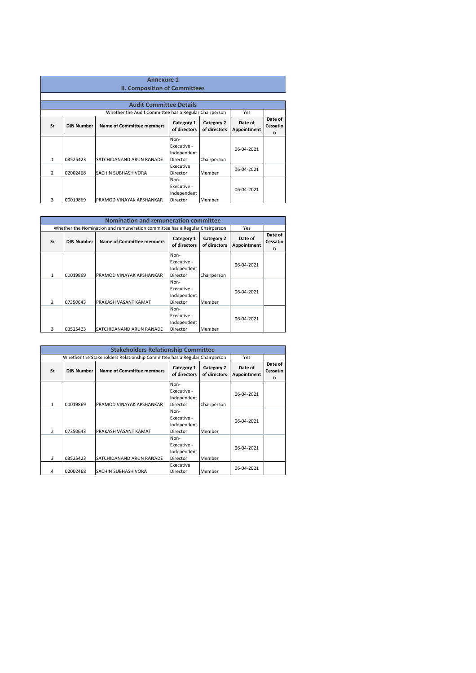|               | <b>Annexure 1</b><br><b>II. Composition of Committees</b>                    |                                                       |                                                |                        |                          |  |
|---------------|------------------------------------------------------------------------------|-------------------------------------------------------|------------------------------------------------|------------------------|--------------------------|--|
|               |                                                                              | <b>Audit Committee Details</b>                        |                                                |                        |                          |  |
|               |                                                                              | Whether the Audit Committee has a Regular Chairperson |                                                |                        | Yes                      |  |
| Sr            | Category 1<br>Name of Committee members<br><b>DIN Number</b><br>of directors |                                                       | Category 2<br>of directors                     | Date of<br>Appointment | Date of<br>Cessatio<br>n |  |
| 1             | 03525423                                                                     | SATCHIDANAND ARUN RANADE                              | Non-<br>Executive -<br>Independent<br>Director | Chairperson            | 06-04-2021               |  |
| $\mathcal{P}$ | 02002468                                                                     | SACHIN SUBHASH VORA                                   | Executive<br>Director                          | Member                 | 06-04-2021               |  |
| 3             | 00019869                                                                     | PRAMOD VINAYAK APSHANKAR                              | Non-<br>Executive -<br>Independent<br>Director | Member                 | 06-04-2021               |  |

|    | <b>Nomination and remuneration committee</b> |                                                                             |                                                |                            |                        |                          |  |
|----|----------------------------------------------|-----------------------------------------------------------------------------|------------------------------------------------|----------------------------|------------------------|--------------------------|--|
|    |                                              | Whether the Nomination and remuneration committee has a Regular Chairperson |                                                |                            | Yes                    |                          |  |
| Sr | <b>DIN Number</b>                            | <b>Name of Committee members</b>                                            | Category 1<br>of directors                     | Category 2<br>of directors | Date of<br>Appointment | Date of<br>Cessatio<br>n |  |
| 1  | 00019869                                     | PRAMOD VINAYAK APSHANKAR                                                    | Non-<br>Executive -<br>Independent<br>Director | Chairperson                | 06-04-2021             |                          |  |
| 2  | 07350643                                     | PRAKASH VASANT KAMAT                                                        | Non-<br>Executive -<br>Independent<br>Director | Member                     | 06-04-2021             |                          |  |
| 3  | 03525423                                     | SATCHIDANAND ARUN RANADE                                                    | Non-<br>Executive -<br>Independent<br>Director | Member                     | 06-04-2021             |                          |  |

|               | <b>Stakeholders Relationship Committee</b> |                                                                           |                                                |                            |                        |                          |  |
|---------------|--------------------------------------------|---------------------------------------------------------------------------|------------------------------------------------|----------------------------|------------------------|--------------------------|--|
|               |                                            | Whether the Stakeholders Relationship Committee has a Regular Chairperson |                                                |                            | Yes                    |                          |  |
| Sr            | <b>DIN Number</b>                          | <b>Name of Committee members</b>                                          | Category 1<br>of directors                     | Category 2<br>of directors | Date of<br>Appointment | Date of<br>Cessatio<br>n |  |
| 1             | 00019869                                   | PRAMOD VINAYAK APSHANKAR                                                  | Non-<br>Executive -<br>Independent<br>Director | Chairperson                | 06-04-2021             |                          |  |
| $\mathcal{P}$ | 07350643                                   | PRAKASH VASANT KAMAT                                                      | Non-<br>Executive -<br>Independent<br>Director | Member                     | 06-04-2021             |                          |  |
| 3             | 03525423                                   | SATCHIDANAND ARUN RANADE                                                  | Non-<br>Executive -<br>Independent<br>Director | Member                     | 06-04-2021             |                          |  |
| 4             | 02002468                                   | SACHIN SUBHASH VORA                                                       | Executive<br>Director                          | Member                     | 06-04-2021             |                          |  |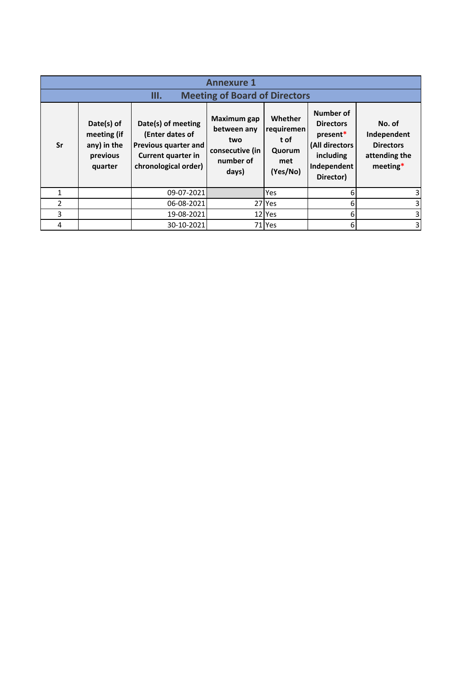|                | <b>Annexure 1</b>                                               |                                                                                                             |                                                                                   |                                                            |                                                                                                      |                                                                          |  |
|----------------|-----------------------------------------------------------------|-------------------------------------------------------------------------------------------------------------|-----------------------------------------------------------------------------------|------------------------------------------------------------|------------------------------------------------------------------------------------------------------|--------------------------------------------------------------------------|--|
|                |                                                                 | Ш.                                                                                                          | <b>Meeting of Board of Directors</b>                                              |                                                            |                                                                                                      |                                                                          |  |
| Sr             | Date(s) of<br>meeting (if<br>any) in the<br>previous<br>quarter | Date(s) of meeting<br>(Enter dates of<br>Previous quarter and<br>Current quarter in<br>chronological order) | <b>Maximum gap</b><br>between any<br>two<br>consecutive (in<br>number of<br>days) | Whether<br>requiremen<br>t of<br>Quorum<br>met<br>(Yes/No) | Number of<br><b>Directors</b><br>present*<br>(All directors<br>including<br>Independent<br>Director) | No. of<br>Independent<br><b>Directors</b><br>attending the<br>$meeting*$ |  |
|                |                                                                 | 09-07-2021                                                                                                  |                                                                                   | Yes                                                        | 6                                                                                                    | 3                                                                        |  |
| $\overline{2}$ |                                                                 | 06-08-2021                                                                                                  |                                                                                   | 27 Yes                                                     | 6                                                                                                    | 3                                                                        |  |
| 3              |                                                                 | 19-08-2021                                                                                                  |                                                                                   | 12 Yes                                                     | 6                                                                                                    | 3                                                                        |  |
| 4              |                                                                 | 30-10-2021                                                                                                  |                                                                                   | 71 Yes                                                     | 6                                                                                                    | 3                                                                        |  |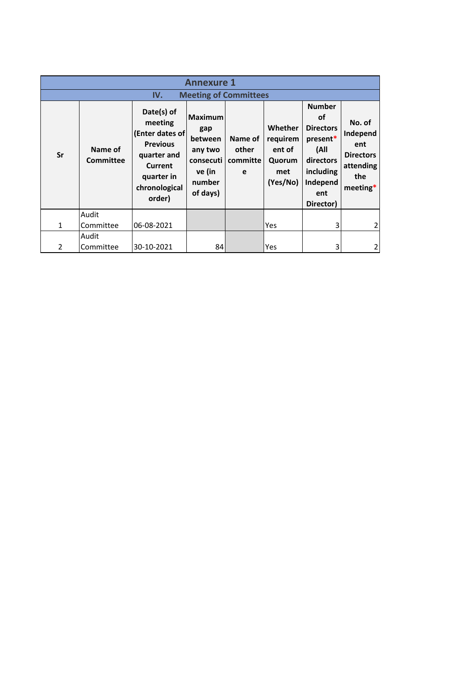|              | <b>Annexure 1</b>    |                                                                                                                                              |                                                                                          |                                   |                                                            |                                                                                                                              |                                                                               |
|--------------|----------------------|----------------------------------------------------------------------------------------------------------------------------------------------|------------------------------------------------------------------------------------------|-----------------------------------|------------------------------------------------------------|------------------------------------------------------------------------------------------------------------------------------|-------------------------------------------------------------------------------|
|              |                      | IV.                                                                                                                                          | <b>Meeting of Committees</b>                                                             |                                   |                                                            |                                                                                                                              |                                                                               |
| Sr           | Name of<br>Committee | Date(s) of<br>meeting<br><b>(Enter dates of</b><br><b>Previous</b><br>quarter and<br><b>Current</b><br>quarter in<br>chronological<br>order) | <b>Maximum</b><br>gap<br>between<br>any two<br>consecuti<br>ve (in<br>number<br>of days) | Name of<br>other<br>committe<br>e | Whether<br>requirem<br>ent of<br>Quorum<br>met<br>(Yes/No) | <b>Number</b><br><b>of</b><br><b>Directors</b><br>present*<br>(All<br>directors<br>including<br>Independ<br>ent<br>Director) | No. of<br>Independ<br>ent<br><b>Directors</b><br>attending<br>the<br>meeting* |
| $\mathbf{1}$ | Audit<br>Committee   | 06-08-2021                                                                                                                                   |                                                                                          |                                   | Yes                                                        | 3                                                                                                                            |                                                                               |
|              | Audit                |                                                                                                                                              |                                                                                          |                                   |                                                            |                                                                                                                              |                                                                               |
| 2            | Committee            | 30-10-2021                                                                                                                                   | 84                                                                                       |                                   | Yes                                                        | 3                                                                                                                            |                                                                               |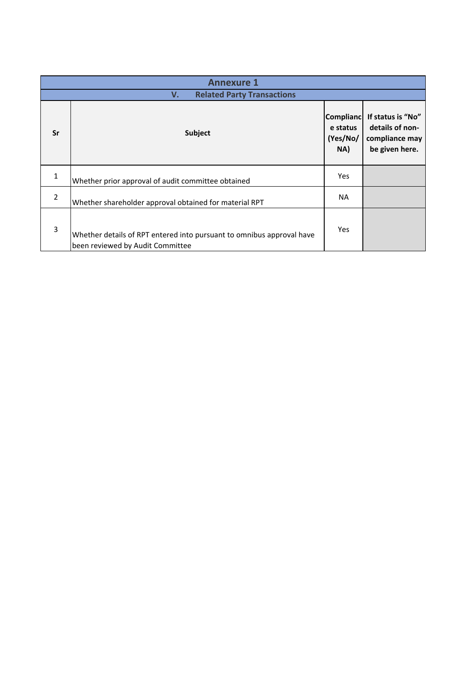|                | <b>Annexure 1</b>                                                                                         |           |                                                                                              |  |  |  |
|----------------|-----------------------------------------------------------------------------------------------------------|-----------|----------------------------------------------------------------------------------------------|--|--|--|
|                | <b>Related Party Transactions</b><br>V.                                                                   |           |                                                                                              |  |  |  |
| Sr             | Subject                                                                                                   |           | <b>Compliand</b><br>If status is "No"<br>details of non-<br>compliance may<br>be given here. |  |  |  |
| $\mathbf{1}$   | Whether prior approval of audit committee obtained                                                        | Yes       |                                                                                              |  |  |  |
| $\overline{2}$ | Whether shareholder approval obtained for material RPT                                                    | <b>NA</b> |                                                                                              |  |  |  |
| 3              | Whether details of RPT entered into pursuant to omnibus approval have<br>been reviewed by Audit Committee | Yes       |                                                                                              |  |  |  |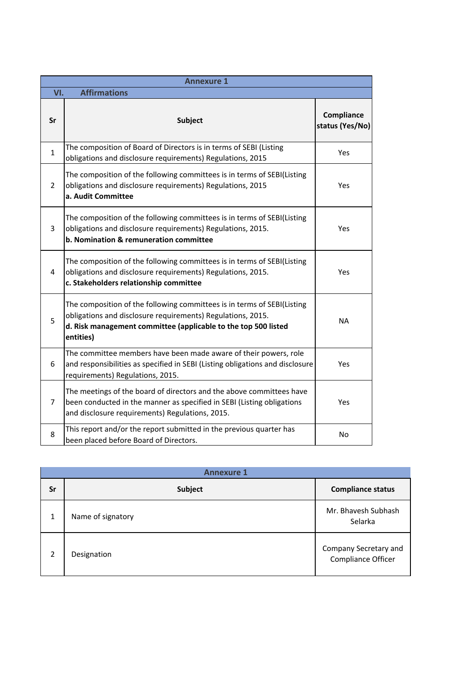|                | <b>Annexure 1</b>                                                                                                                                                                                                     |                               |  |  |  |
|----------------|-----------------------------------------------------------------------------------------------------------------------------------------------------------------------------------------------------------------------|-------------------------------|--|--|--|
| VI.            | <b>Affirmations</b>                                                                                                                                                                                                   |                               |  |  |  |
| Sr             | <b>Subject</b>                                                                                                                                                                                                        | Compliance<br>status (Yes/No) |  |  |  |
| $\mathbf{1}$   | The composition of Board of Directors is in terms of SEBI (Listing<br>obligations and disclosure requirements) Regulations, 2015                                                                                      | Yes                           |  |  |  |
| $\overline{2}$ | The composition of the following committees is in terms of SEBI(Listing<br>obligations and disclosure requirements) Regulations, 2015<br>a. Audit Committee                                                           | Yes                           |  |  |  |
| 3              | The composition of the following committees is in terms of SEBI(Listing<br>obligations and disclosure requirements) Regulations, 2015.<br>b. Nomination & remuneration committee                                      | Yes                           |  |  |  |
| 4              | The composition of the following committees is in terms of SEBI(Listing<br>obligations and disclosure requirements) Regulations, 2015.<br>c. Stakeholders relationship committee                                      | Yes                           |  |  |  |
| 5              | The composition of the following committees is in terms of SEBI(Listing<br>obligations and disclosure requirements) Regulations, 2015.<br>d. Risk management committee (applicable to the top 500 listed<br>entities) | <b>NA</b>                     |  |  |  |
| 6              | The committee members have been made aware of their powers, role<br>and responsibilities as specified in SEBI (Listing obligations and disclosure<br>requirements) Regulations, 2015.                                 | Yes                           |  |  |  |
| 7              | The meetings of the board of directors and the above committees have<br>been conducted in the manner as specified in SEBI (Listing obligations<br>and disclosure requirements) Regulations, 2015.                     | Yes                           |  |  |  |
| 8              | This report and/or the report submitted in the previous quarter has<br>been placed before Board of Directors.                                                                                                         | No                            |  |  |  |

|              | <b>Annexure 1</b> |                                             |  |  |  |
|--------------|-------------------|---------------------------------------------|--|--|--|
| Sr           | Subject           | <b>Compliance status</b>                    |  |  |  |
| $\mathbf{1}$ | Name of signatory | Mr. Bhavesh Subhash<br>Selarka              |  |  |  |
| 2            | Designation       | Company Secretary and<br>Compliance Officer |  |  |  |